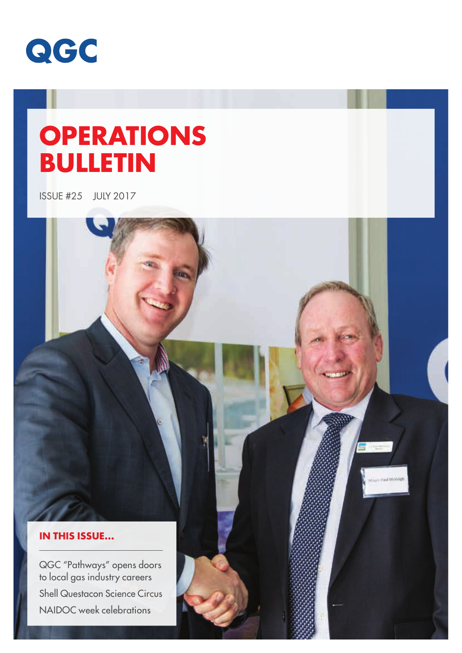

# **OPERATIONS BULLETIN**

ISSUE #25 JULY 2017

### **IN THIS ISSUE...**

QGC "Pathways" opens doors to local gas industry careers Shell Questacon Science Circus NAIDOC week celebrations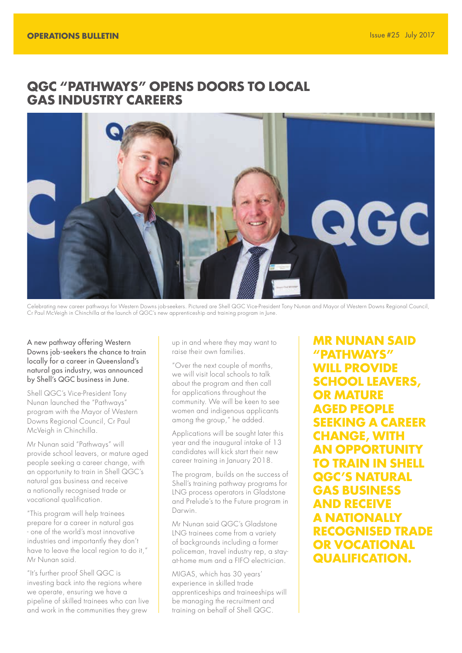# **QGC "PATHWAYS" OPENS DOORS TO LOCAL GAS INDUSTRY CAREERS**



Celebrating new career pathways for Western Downs job-seekers. Pictured are Shell QGC Vice-President Tony Nunan and Mayor of Western Downs Regional Council, Cr Paul McVeigh in Chinchilla at the launch of QGC's new apprenticeship and training program in June.

A new pathway offering Western Downs job-seekers the chance to train locally for a career in Queensland's natural gas industry, was announced by Shell's QGC business in June.

Shell QGC's Vice-President Tony Nunan launched the "Pathways" program with the Mayor of Western Downs Regional Council, Cr Paul McVeigh in Chinchilla.

Mr Nunan said "Pathways" will provide school leavers, or mature aged people seeking a career change, with an opportunity to train in Shell QGC's natural gas business and receive a nationally recognised trade or vocational qualification.

"This program will help trainees prepare for a career in natural gas - one of the world's most innovative industries and importantly they don't have to leave the local region to do it," Mr Nunan said.

"It's further proof Shell QGC is investing back into the regions where we operate, ensuring we have a pipeline of skilled trainees who can live and work in the communities they grew

up in and where they may want to raise their own families.

"Over the next couple of months, we will visit local schools to talk about the program and then call for applications throughout the community. We will be keen to see women and indigenous applicants among the group," he added.

Applications will be sought later this year and the inaugural intake of 13 candidates will kick start their new career training in January 2018.

The program, builds on the success of Shell's training pathway programs for LNG process operators in Gladstone and Prelude's to the Future program in Darwin.

Mr Nunan said QGC's Gladstone LNG trainees come from a variety of backgrounds including a former policeman, travel industry rep, a stayat-home mum and a FIFO electrician.

MIGAS, which has 30 years' experience in skilled trade apprenticeships and traineeships will be managing the recruitment and training on behalf of Shell QGC.

**MR NUNAN SAID "PATHWAYS" WILL PROVIDE SCHOOL LEAVERS, OR MATURE AGED PEOPLE SEEKING A CAREER CHANGE, WITH AN OPPORTUNITY TO TRAIN IN SHELL QGC'S NATURAL GAS BUSINESS AND RECEIVE A NATIONALLY RECOGNISED TRADE OR VOCATIONAL QUALIFICATION.**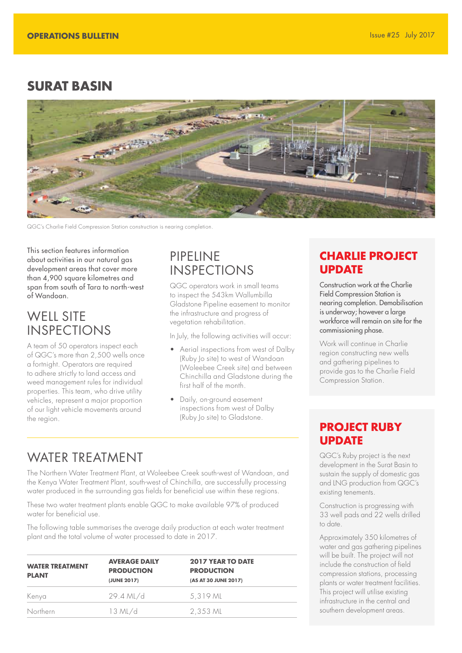# **SURAT BASIN**



QGC's Charlie Field Compression Station construction is nearing completion.

This section features information about activities in our natural gas development areas that cover more than 4,900 square kilometres and span from south of Tara to north-west of Wandoan.

# WELL SITE INSPECTIONS

A team of 50 operators inspect each of QGC's more than 2,500 wells once a fortnight. Operators are required to adhere strictly to land access and weed management rules for individual properties. This team, who drive utility vehicles, represent a major proportion of our light vehicle movements around the region.

# PIPELINE INSPECTIONS

QGC operators work in small teams to inspect the 543km Wallumbilla Gladstone Pipeline easement to monitor the infrastructure and progress of vegetation rehabilitation.

In July, the following activities will occur:

- Aerial inspections from west of Dalby (Ruby Jo site) to west of Wandoan (Woleebee Creek site) and between Chinchilla and Gladstone during the first half of the month.
- Daily, on-ground easement inspections from west of Dalby (Ruby Jo site) to Gladstone.

# WATER TREATMENT

The Northern Water Treatment Plant, at Woleebee Creek south-west of Wandoan, and the Kenya Water Treatment Plant, south-west of Chinchilla, are successfully processing water produced in the surrounding gas fields for beneficial use within these regions.

These two water treatment plants enable QGC to make available 97% of produced water for beneficial use.

The following table summarises the average daily production at each water treatment plant and the total volume of water processed to date in 2017.

| <b>WATER TREATMENT</b><br><b>PLANT</b> | <b>AVERAGE DAILY</b><br><b>PRODUCTION</b><br>(JUNE 2017) | <b>2017 YEAR TO DATE</b><br><b>PRODUCTION</b><br>(AS AT 30 JUNE 2017) |
|----------------------------------------|----------------------------------------------------------|-----------------------------------------------------------------------|
| Kenya                                  | 29.4 ML/d                                                | 5,319 ML                                                              |
| <b>Northern</b>                        | $13$ ML/d                                                | 2,353 ML                                                              |

## **CHARLIE PROJECT UPDATE**

Construction work at the Charlie Field Compression Station is nearing completion. Demobilisation is underway; however a large workforce will remain on site for the commissioning phase.

Work will continue in Charlie region constructing new wells and gathering pipelines to provide gas to the Charlie Field Compression Station.

# **PROJECT RUBY UPDATE**

QGC's Ruby project is the next development in the Surat Basin to sustain the supply of domestic gas and LNG production from QGC's existing tenements.

Construction is progressing with 33 well pads and 22 wells drilled to date.

Approximately 350 kilometres of water and gas gathering pipelines will be built. The project will not include the construction of field compression stations, processing plants or water treatment facilities. This project will utilise existing infrastructure in the central and southern development areas.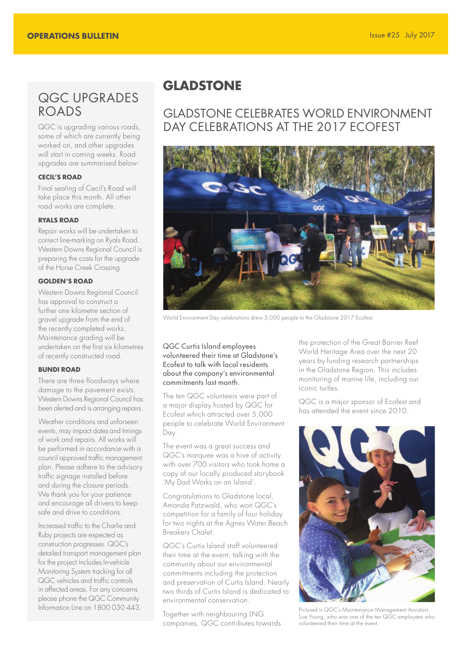# QGC UPGRADES ROADS

QGC is upgrading various roads, some of which are currently being worked on, and other upgrades will start in coming weeks. Road upgrades are summarised below:

### **CECIL'S ROAD**

Final sealing of Cecil's Road will take place this month. All other road works are complete.

### **RYALS ROAD**

Repair works will be undertaken to correct line-marking on Ryals Road. Western Downs Regional Council is preparing the costs for the upgrade of the Horse Creek Crossing.

### **GOLDEN'S ROAD**

Western Downs Regional Council has approval to construct a further one kilometre section of gravel upgrade from the end of the recently completed works. Maintenance grading will be undertaken on the first six kilometres of recently constructed road.

### **BUNDI ROAD**

There are three floodways where damage to the pavement exists. Western Downs Regional Council has been alerted and is arranging repairs.

Weather conditions and unforseen events, may impact dates and timings of work and repairs. All works will be performed in accordance with a council approved traffic management plan. Please adhere to the advisory traffic signage installed before and during the closure periods. We thank you for your patience and encourage all drivers to keep safe and drive to conditions.

Increased traffic to the Charlie and Ruby projects are expected as construction progresses. QGC's detailed transport management plan for the project includes In-vehicle Monitoring System tracking for all QGC vehicles and traffic controls in affected areas. For any concerns please phone the QGC Community Information Line on 1800 030 443.

# **GLADSTONE**

# GLADSTONE CELEBRATES WORLD ENVIRONMENT DAY CELEBRATIONS AT THE 2017 ECOFEST



World Environment Day celebrations drew 5,000 people to the Gladstone 2017 Ecofest.

### QGC Curtis Island employees volunteered their time at Gladstone's Ecofest to talk with local residents about the company's environmental commitments last month.

The ten QGC volunteers were part of a major display hosted by QGC for Ecofest which attracted over 5,000 people to celebrate World Environment Day.

The event was a great success and QGC's marquee was a hive of activity with over 700 visitors who took home a copy of our locally produced storybook 'My Dad Works on an Island'.

Congratulations to Gladstone local, Amanda Patzwald, who won QGC's competition for a family of four holiday for two nights at the Agnes Water Beach Breakers Chalet.

QGC's Curtis Island staff volunteered their time at the event, talking with the community about our environmental commitments including the protection and preservation of Curtis Island. Nearly two thirds of Curtis Island is dedicated to environmental conservation.

Together with neighbouring LNG companies, QGC contributes towards the protection of the Great Barrier Reef World Heritage Area over the next 20 years by funding research partnerships in the Gladstone Region. This includes monitoring of marine life, including our iconic turtles.

QGC is a major sponsor of Ecofest and has attended the event since 2010.



Pictured is QGC's Maintenance Management Assistant, Sue Young, who was one of the ten QGC employees who volunteered their time at the event.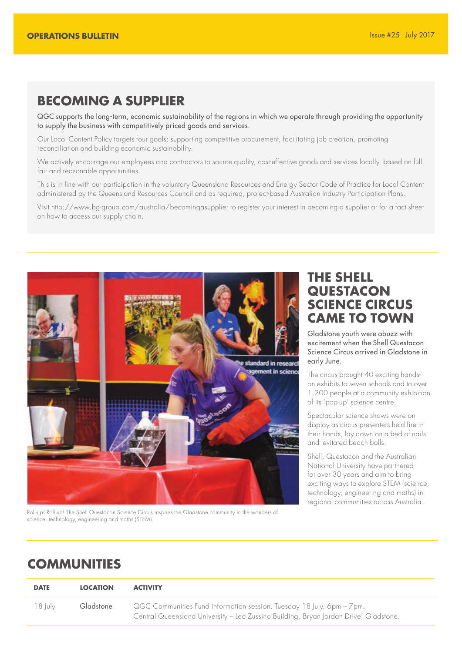# **BECOMING A SUPPLIER**

QGC supports the long-term, economic sustainability of the regions in which we operate through providing the opportunity to supply the business with competitively priced goods and services.

Our Local Content Policy targets four goals: supporting competitive procurement, facilitating job creation, promoting reconciliation and building economic sustainability.

We actively encourage our employees and contractors to source quality, cost-effective goods and services locally, based on full, fair and reasonable opportunities.

This is in line with our participation in the voluntary Queensland Resources and Energy Sector Code of Practice for Local Content administered by the Queensland Resources Council and as required, project-based Australian Industry Participation Plans.

Visit http://www.bg-group.com/australia/becomingasupplier to register your interest in becoming a supplier or for a fact sheet on how to access our supply chain.



Roll-up! Roll up! The Shell Questacon Science Circus inspires the Gladstone community in the wonders of science, technology, engineering and maths (STEM).

# **THE SHELL QUESTACON SCIENCE CIRCUS CAME TO TOWN**

Gladstone youth were abuzz with excitement when the Shell Questacon Science Circus arrived in Gladstone in early June.

The circus brought 40 exciting handson exhibits to seven schools and to over 1,200 people at a community exhibition of its 'pop-up' science centre.

Spectacular science shows were on display as circus presenters held fire in their hands, lay down on a bed of nails and levitated beach balls.

Shell, Questacon and the Australian National University have partnered for over 30 years and aim to bring exciting ways to explore STEM (science, technology, engineering and maths) in regional communities across Australia.

# **COMMUNITIES**

| <b>DATE</b> | <b>LOCATION</b> | <b>ACTIVITY</b>                                                                                                                                               |
|-------------|-----------------|---------------------------------------------------------------------------------------------------------------------------------------------------------------|
| 18 Iuly     | Gladstone       | QGC Communities Fund information session. Tuesday 18 July, 6pm - 7pm.<br>Central Queensland University - Leo Zussino Building, Bryan Jordan Drive, Gladstone. |